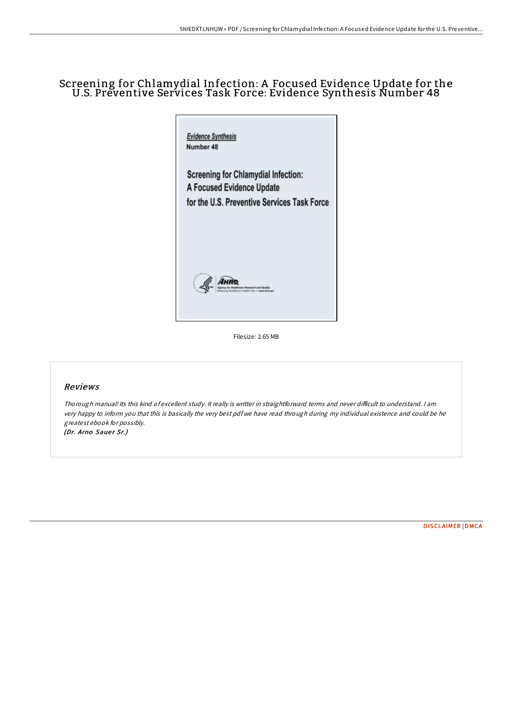# Screening for Chlamydial Infection: A Focused Evidence Update for the U.S. Preventive Services Task Force: Evidence Synthesis Number 48



Filesize: 2.65 MB

#### Reviews

Thorough manual! Its this kind of excellent study. It really is writter in straightforward terms and never difficult to understand. I am very happy to inform you that this is basically the very best pdf we have read through during my individual existence and could be he greatest ebook for possibly. (Dr. Arno Sauer Sr.)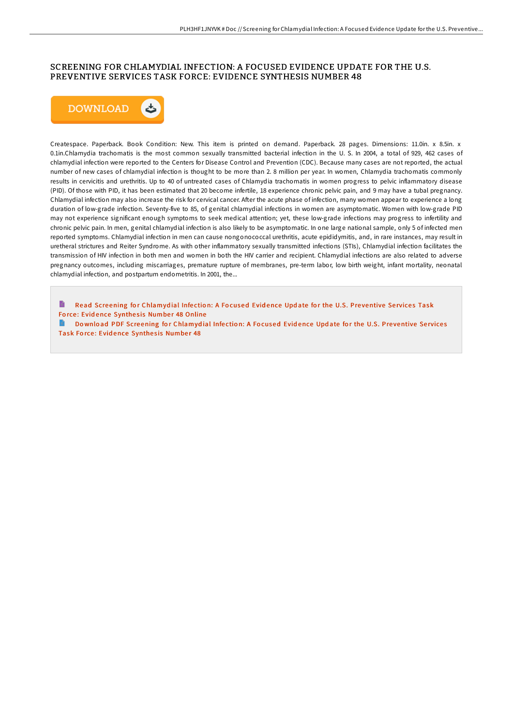#### SCREENING FOR CHLAMYDIAL INFECTION: A FOCUSED EVIDENCE UPDATE FOR THE U.S. PREVENTIVE SERVICES TASK FORCE: EVIDENCE SYNTHESIS NUMBER 48



Createspace. Paperback. Book Condition: New. This item is printed on demand. Paperback. 28 pages. Dimensions: 11.0in. x 8.5in. x 0.1in.Chlamydia trachomatis is the most common sexually transmitted bacterial infection in the U. S. In 2004, a total of 929, 462 cases of chlamydial infection were reported to the Centers for Disease Control and Prevention (CDC). Because many cases are not reported, the actual number of new cases of chlamydial infection is thought to be more than 2. 8 million per year. In women, Chlamydia trachomatis commonly results in cervicitis and urethritis. Up to 40 of untreated cases of Chlamydia trachomatis in women progress to pelvic inflammatory disease (PID). Of those with PID, it has been estimated that 20 become infertile, 18 experience chronic pelvic pain, and 9 may have a tubal pregnancy. Chlamydial infection may also increase the risk for cervical cancer. After the acute phase of infection, many women appear to experience a long duration of low-grade infection. Seventy-five to 85, of genital chlamydial infections in women are asymptomatic. Women with low-grade PID may not experience significant enough symptoms to seek medical attention; yet, these low-grade infections may progress to infertility and chronic pelvic pain. In men, genital chlamydial infection is also likely to be asymptomatic. In one large national sample, only 5 of infected men reported symptoms. Chlamydial infection in men can cause nongonococcal urethritis, acute epididymitis, and, in rare instances, may result in uretheral strictures and Reiter Syndrome. As with other inflammatory sexually transmitted infections (STIs), Chlamydial infection facilitates the transmission of HIV infection in both men and women in both the HIV carrier and recipient. Chlamydial infections are also related to adverse pregnancy outcomes, including miscarriages, premature rupture of membranes, pre-term labor, low birth weight, infant mortality, neonatal chlamydial infection, and postpartum endometritis. In 2001, the...

Read Screening for [Chlamyd](http://almighty24.tech/screening-for-chlamydial-infection-a-focused-evi.html)ial Infection: A Focused Evidence Update for the U.S. Preventive Services Task Force: Evidence Synthesis Number 48 Online

 $\blacksquare$ Download PDF Screening for [Chlamyd](http://almighty24.tech/screening-for-chlamydial-infection-a-focused-evi.html)ial Infection: A Focused Evidence Update for the U.S. Preventive Services Task Force: Evidence Synthesis Number 48